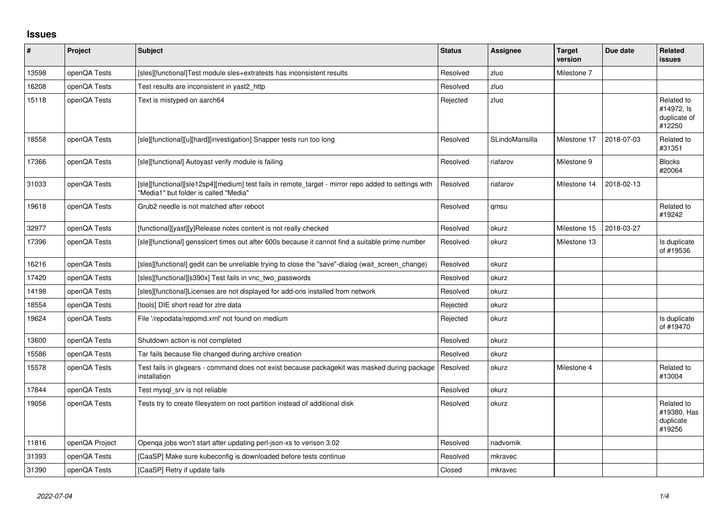## **Issues**

| $\pmb{\#}$ | Project        | <b>Subject</b>                                                                                                                                | <b>Status</b> | Assignee       | <b>Target</b><br>version | Due date   | <b>Related</b><br><b>issues</b>                    |
|------------|----------------|-----------------------------------------------------------------------------------------------------------------------------------------------|---------------|----------------|--------------------------|------------|----------------------------------------------------|
| 13598      | openQA Tests   | [sles][functional]Test module sles+extratests has inconsistent results                                                                        | Resolved      | zluo           | Milestone 7              |            |                                                    |
| 16208      | openQA Tests   | Test results are inconsistent in yast2 http                                                                                                   | Resolved      | zluo           |                          |            |                                                    |
| 15118      | openQA Tests   | Text is mistyped on aarch64                                                                                                                   | Rejected      | zluo           |                          |            | Related to<br>#14972, ls<br>duplicate of<br>#12250 |
| 18558      | openQA Tests   | [sle][functional][u][hard][investigation] Snapper tests run too long                                                                          | Resolved      | SLindoMansilla | Milestone 17             | 2018-07-03 | Related to<br>#31351                               |
| 17366      | openQA Tests   | [sle][functional] Autoyast verify module is failing                                                                                           | Resolved      | riafarov       | Milestone 9              |            | <b>Blocks</b><br>#20064                            |
| 31033      | openQA Tests   | [sle][functional][sle12sp4][medium] test fails in remote_target - mirror repo added to settings with<br>'Media1" but folder is called "Media" | Resolved      | riafarov       | Milestone 14             | 2018-02-13 |                                                    |
| 19618      | openQA Tests   | Grub2 needle is not matched after reboot                                                                                                      | Resolved      | qmsu           |                          |            | Related to<br>#19242                               |
| 32977      | openQA Tests   | [functional][yast][y]Release notes content is not really checked                                                                              | Resolved      | okurz          | Milestone 15             | 2018-03-27 |                                                    |
| 17396      | openQA Tests   | [sle][functional] gensslcert times out after 600s because it cannot find a suitable prime number                                              | Resolved      | okurz          | Milestone 13             |            | Is duplicate<br>of #19536                          |
| 16216      | openQA Tests   | [sles][functional] gedit can be unreliable trying to close the "save"-dialog (wait_screen_change)                                             | Resolved      | okurz          |                          |            |                                                    |
| 17420      | openQA Tests   | [sles][functional][s390x] Test fails in vnc_two_passwords                                                                                     | Resolved      | okurz          |                          |            |                                                    |
| 14198      | openQA Tests   | [sles][functional]Licenses are not displayed for add-ons installed from network                                                               | Resolved      | okurz          |                          |            |                                                    |
| 18554      | openQA Tests   | [tools] DIE short read for zire data                                                                                                          | Rejected      | okurz          |                          |            |                                                    |
| 19624      | openQA Tests   | File '/repodata/repomd.xml' not found on medium                                                                                               | Rejected      | okurz          |                          |            | Is duplicate<br>of #19470                          |
| 13600      | openQA Tests   | Shutdown action is not completed                                                                                                              | Resolved      | okurz          |                          |            |                                                    |
| 15586      | openQA Tests   | Tar fails because file changed during archive creation                                                                                        | Resolved      | okurz          |                          |            |                                                    |
| 15578      | openQA Tests   | Test fails in glxgears - command does not exist because packagekit was masked during package<br>installation                                  | Resolved      | okurz          | Milestone 4              |            | Related to<br>#13004                               |
| 17844      | openQA Tests   | Test mysgl srv is not reliable                                                                                                                | Resolved      | okurz          |                          |            |                                                    |
| 19056      | openQA Tests   | Tests try to create filesystem on root partition instead of additional disk                                                                   | Resolved      | okurz          |                          |            | Related to<br>#19380, Has<br>duplicate<br>#19256   |
| 11816      | openQA Project | Openqa jobs won't start after updating perl-json-xs to verison 3.02                                                                           | Resolved      | nadvornik      |                          |            |                                                    |
| 31393      | openQA Tests   | [CaaSP] Make sure kubeconfig is downloaded before tests continue                                                                              | Resolved      | mkravec        |                          |            |                                                    |
| 31390      | openQA Tests   | [CaaSP] Retry if update fails                                                                                                                 | Closed        | mkravec        |                          |            |                                                    |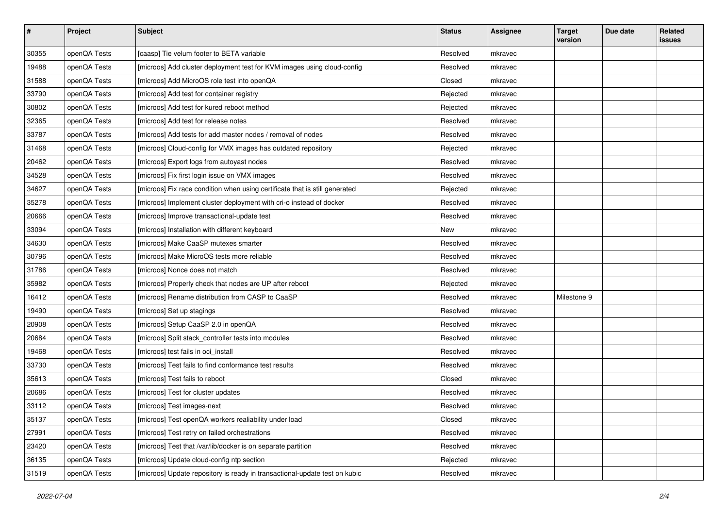| $\sharp$ | Project      | <b>Subject</b>                                                              | <b>Status</b> | Assignee | <b>Target</b><br>version | Due date | Related<br><b>issues</b> |
|----------|--------------|-----------------------------------------------------------------------------|---------------|----------|--------------------------|----------|--------------------------|
| 30355    | openQA Tests | [caasp] Tie velum footer to BETA variable                                   | Resolved      | mkravec  |                          |          |                          |
| 19488    | openQA Tests | [microos] Add cluster deployment test for KVM images using cloud-config     | Resolved      | mkravec  |                          |          |                          |
| 31588    | openQA Tests | [microos] Add MicroOS role test into openQA                                 | Closed        | mkravec  |                          |          |                          |
| 33790    | openQA Tests | [microos] Add test for container registry                                   | Rejected      | mkravec  |                          |          |                          |
| 30802    | openQA Tests | [microos] Add test for kured reboot method                                  | Rejected      | mkravec  |                          |          |                          |
| 32365    | openQA Tests | [microos] Add test for release notes                                        | Resolved      | mkravec  |                          |          |                          |
| 33787    | openQA Tests | [microos] Add tests for add master nodes / removal of nodes                 | Resolved      | mkravec  |                          |          |                          |
| 31468    | openQA Tests | [microos] Cloud-config for VMX images has outdated repository               | Rejected      | mkravec  |                          |          |                          |
| 20462    | openQA Tests | [microos] Export logs from autoyast nodes                                   | Resolved      | mkravec  |                          |          |                          |
| 34528    | openQA Tests | [microos] Fix first login issue on VMX images                               | Resolved      | mkravec  |                          |          |                          |
| 34627    | openQA Tests | [microos] Fix race condition when using certificate that is still generated | Rejected      | mkravec  |                          |          |                          |
| 35278    | openQA Tests | [microos] Implement cluster deployment with cri-o instead of docker         | Resolved      | mkravec  |                          |          |                          |
| 20666    | openQA Tests | [microos] Improve transactional-update test                                 | Resolved      | mkravec  |                          |          |                          |
| 33094    | openQA Tests | [microos] Installation with different keyboard                              | New           | mkravec  |                          |          |                          |
| 34630    | openQA Tests | [microos] Make CaaSP mutexes smarter                                        | Resolved      | mkravec  |                          |          |                          |
| 30796    | openQA Tests | [microos] Make MicroOS tests more reliable                                  | Resolved      | mkravec  |                          |          |                          |
| 31786    | openQA Tests | [microos] Nonce does not match                                              | Resolved      | mkravec  |                          |          |                          |
| 35982    | openQA Tests | [microos] Properly check that nodes are UP after reboot                     | Rejected      | mkravec  |                          |          |                          |
| 16412    | openQA Tests | [microos] Rename distribution from CASP to CaaSP                            | Resolved      | mkravec  | Milestone 9              |          |                          |
| 19490    | openQA Tests | [microos] Set up stagings                                                   | Resolved      | mkravec  |                          |          |                          |
| 20908    | openQA Tests | [microos] Setup CaaSP 2.0 in openQA                                         | Resolved      | mkravec  |                          |          |                          |
| 20684    | openQA Tests | [microos] Split stack_controller tests into modules                         | Resolved      | mkravec  |                          |          |                          |
| 19468    | openQA Tests | [microos] test fails in oci_install                                         | Resolved      | mkravec  |                          |          |                          |
| 33730    | openQA Tests | [microos] Test fails to find conformance test results                       | Resolved      | mkravec  |                          |          |                          |
| 35613    | openQA Tests | [microos] Test fails to reboot                                              | Closed        | mkravec  |                          |          |                          |
| 20686    | openQA Tests | [microos] Test for cluster updates                                          | Resolved      | mkravec  |                          |          |                          |
| 33112    | openQA Tests | [microos] Test images-next                                                  | Resolved      | mkravec  |                          |          |                          |
| 35137    | openQA Tests | [microos] Test openQA workers realiability under load                       | Closed        | mkravec  |                          |          |                          |
| 27991    | openQA Tests | [microos] Test retry on failed orchestrations                               | Resolved      | mkravec  |                          |          |                          |
| 23420    | openQA Tests | [microos] Test that /var/lib/docker is on separate partition                | Resolved      | mkravec  |                          |          |                          |
| 36135    | openQA Tests | [microos] Update cloud-config ntp section                                   | Rejected      | mkravec  |                          |          |                          |
| 31519    | openQA Tests | [microos] Update repository is ready in transactional-update test on kubic  | Resolved      | mkravec  |                          |          |                          |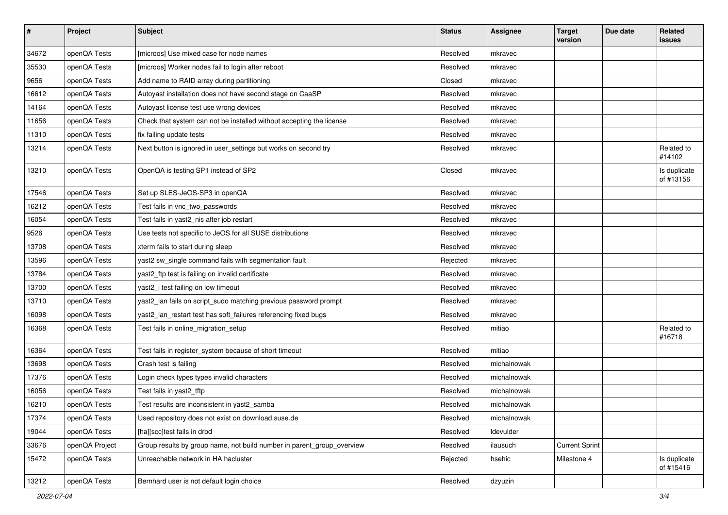| $\vert$ # | Project        | <b>Subject</b>                                                         | <b>Status</b> | <b>Assignee</b> | <b>Target</b><br>version | Due date | Related<br>issues         |
|-----------|----------------|------------------------------------------------------------------------|---------------|-----------------|--------------------------|----------|---------------------------|
| 34672     | openQA Tests   | [microos] Use mixed case for node names                                | Resolved      | mkravec         |                          |          |                           |
| 35530     | openQA Tests   | [microos] Worker nodes fail to login after reboot                      | Resolved      | mkravec         |                          |          |                           |
| 9656      | openQA Tests   | Add name to RAID array during partitioning                             | Closed        | mkravec         |                          |          |                           |
| 16612     | openQA Tests   | Autoyast installation does not have second stage on CaaSP              | Resolved      | mkravec         |                          |          |                           |
| 14164     | openQA Tests   | Autoyast license test use wrong devices                                | Resolved      | mkravec         |                          |          |                           |
| 11656     | openQA Tests   | Check that system can not be installed without accepting the license   | Resolved      | mkravec         |                          |          |                           |
| 11310     | openQA Tests   | fix failing update tests                                               | Resolved      | mkravec         |                          |          |                           |
| 13214     | openQA Tests   | Next button is ignored in user_settings but works on second try        | Resolved      | mkravec         |                          |          | Related to<br>#14102      |
| 13210     | openQA Tests   | OpenQA is testing SP1 instead of SP2                                   | Closed        | mkravec         |                          |          | Is duplicate<br>of #13156 |
| 17546     | openQA Tests   | Set up SLES-JeOS-SP3 in openQA                                         | Resolved      | mkravec         |                          |          |                           |
| 16212     | openQA Tests   | Test fails in vnc two passwords                                        | Resolved      | mkravec         |                          |          |                           |
| 16054     | openQA Tests   | Test fails in yast2_nis after job restart                              | Resolved      | mkravec         |                          |          |                           |
| 9526      | openQA Tests   | Use tests not specific to JeOS for all SUSE distributions              | Resolved      | mkravec         |                          |          |                           |
| 13708     | openQA Tests   | xterm fails to start during sleep                                      | Resolved      | mkravec         |                          |          |                           |
| 13596     | openQA Tests   | yast2 sw_single command fails with segmentation fault                  | Rejected      | mkravec         |                          |          |                           |
| 13784     | openQA Tests   | yast2_ftp test is failing on invalid certificate                       | Resolved      | mkravec         |                          |          |                           |
| 13700     | openQA Tests   | yast2_i test failing on low timeout                                    | Resolved      | mkravec         |                          |          |                           |
| 13710     | openQA Tests   | yast2_lan fails on script_sudo matching previous password prompt       | Resolved      | mkravec         |                          |          |                           |
| 16098     | openQA Tests   | yast2_lan_restart test has soft_failures referencing fixed bugs        | Resolved      | mkravec         |                          |          |                           |
| 16368     | openQA Tests   | Test fails in online_migration_setup                                   | Resolved      | mitiao          |                          |          | Related to<br>#16718      |
| 16364     | openQA Tests   | Test fails in register_system because of short timeout                 | Resolved      | mitiao          |                          |          |                           |
| 13698     | openQA Tests   | Crash test is failing                                                  | Resolved      | michalnowak     |                          |          |                           |
| 17376     | openQA Tests   | Login check types types invalid characters                             | Resolved      | michalnowak     |                          |          |                           |
| 16056     | openQA Tests   | Test fails in yast2_tftp                                               | Resolved      | michalnowak     |                          |          |                           |
| 16210     | openQA Tests   | Test results are inconsistent in yast2_samba                           | Resolved      | michalnowak     |                          |          |                           |
| 17374     | openQA Tests   | Used repository does not exist on download.suse.de                     | Resolved      | michalnowak     |                          |          |                           |
| 19044     | openQA Tests   | [ha][scc]test fails in drbd                                            | Resolved      | Idevulder       |                          |          |                           |
| 33676     | openQA Project | Group results by group name, not build number in parent group overview | Resolved      | ilausuch        | <b>Current Sprint</b>    |          |                           |
| 15472     | openQA Tests   | Unreachable network in HA hacluster                                    | Rejected      | hsehic          | Milestone 4              |          | Is duplicate<br>of #15416 |
| 13212     | openQA Tests   | Bernhard user is not default login choice                              | Resolved      | dzyuzin         |                          |          |                           |